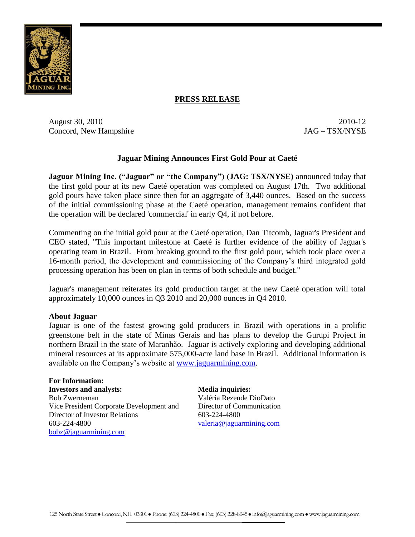

## **PRESS RELEASE**

August 30, 2010 2010-12 Concord, New Hampshire JAG – TSX/NYSE

## **Jaguar Mining Announces First Gold Pour at Caeté**

**Jaguar Mining Inc. ("Jaguar" or "the Company") (JAG: TSX/NYSE)** announced today that the first gold pour at its new Caeté operation was completed on August 17th. Two additional gold pours have taken place since then for an aggregate of 3,440 ounces. Based on the success of the initial commissioning phase at the Caeté operation, management remains confident that the operation will be declared 'commercial' in early Q4, if not before.

Commenting on the initial gold pour at the Caeté operation, Dan Titcomb, Jaguar's President and CEO stated, "This important milestone at Caeté is further evidence of the ability of Jaguar's operating team in Brazil. From breaking ground to the first gold pour, which took place over a 16-month period, the development and commissioning of the Company's third integrated gold processing operation has been on plan in terms of both schedule and budget."

Jaguar's management reiterates its gold production target at the new Caeté operation will total approximately 10,000 ounces in Q3 2010 and 20,000 ounces in Q4 2010.

## **About Jaguar**

Jaguar is one of the fastest growing gold producers in Brazil with operations in a prolific greenstone belt in the state of Minas Gerais and has plans to develop the Gurupi Project in northern Brazil in the state of Maranhão. Jaguar is actively exploring and developing additional mineral resources at its approximate 575,000-acre land base in Brazil. Additional information is available on the Company's website at [www.jaguarmining.com.](http://www.jaguarmining.com/)

**For Information: Investors and analysts: Media inquiries:** Bob Zwerneman Vice President Corporate Development and Director of Investor Relations 603-224-4800 [bobz@jaguarmining.com](mailto:bobz@jaguarmining.com)

Valéria Rezende DioDato Director of Communication 603-224-4800

[valeria@jaguarmining.com](mailto:valeria@jaguarmining.com)